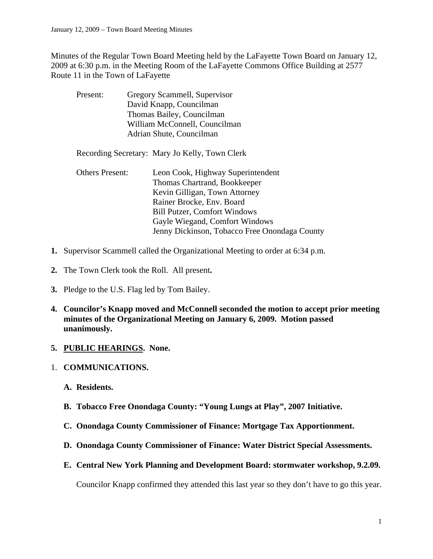Minutes of the Regular Town Board Meeting held by the LaFayette Town Board on January 12, 2009 at 6:30 p.m. in the Meeting Room of the LaFayette Commons Office Building at 2577 Route 11 in the Town of LaFayette

| Present: | Gregory Scammell, Supervisor  |
|----------|-------------------------------|
|          | David Knapp, Councilman       |
|          | Thomas Bailey, Councilman     |
|          | William McConnell, Councilman |
|          | Adrian Shute, Councilman      |

Recording Secretary: Mary Jo Kelly, Town Clerk

- Others Present: Leon Cook, Highway Superintendent Thomas Chartrand, Bookkeeper Kevin Gilligan, Town Attorney Rainer Brocke, Env. Board Bill Putzer, Comfort Windows Gayle Wiegand, Comfort Windows Jenny Dickinson, Tobacco Free Onondaga County
- **1.** Supervisor Scammell called the Organizational Meeting to order at 6:34 p.m.
- **2.** The Town Clerk took the Roll. All present**.**
- **3.** Pledge to the U.S. Flag led by Tom Bailey.
- **4. Councilor's Knapp moved and McConnell seconded the motion to accept prior meeting minutes of the Organizational Meeting on January 6, 2009. Motion passed unanimously.**

### **5. PUBLIC HEARINGS. None.**

- 1. **COMMUNICATIONS.** 
	- **A. Residents.**
	- **B. Tobacco Free Onondaga County: "Young Lungs at Play", 2007 Initiative.**
	- **C. Onondaga County Commissioner of Finance: Mortgage Tax Apportionment.**
	- **D. Onondaga County Commissioner of Finance: Water District Special Assessments.**
	- **E. Central New York Planning and Development Board: stormwater workshop, 9.2.09.**

Councilor Knapp confirmed they attended this last year so they don't have to go this year.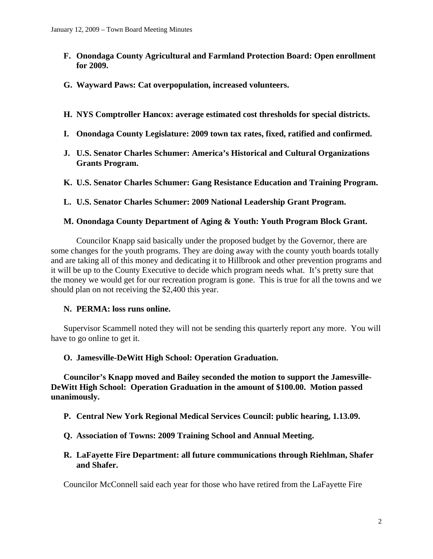- **F. Onondaga County Agricultural and Farmland Protection Board: Open enrollment for 2009.**
- **G. Wayward Paws: Cat overpopulation, increased volunteers.**
- **H. NYS Comptroller Hancox: average estimated cost thresholds for special districts.**
- **I. Onondaga County Legislature: 2009 town tax rates, fixed, ratified and confirmed.**
- **J. U.S. Senator Charles Schumer: America's Historical and Cultural Organizations Grants Program.**
- **K. U.S. Senator Charles Schumer: Gang Resistance Education and Training Program.**
- **L. U.S. Senator Charles Schumer: 2009 National Leadership Grant Program.**

### **M. Onondaga County Department of Aging & Youth: Youth Program Block Grant.**

Councilor Knapp said basically under the proposed budget by the Governor, there are some changes for the youth programs. They are doing away with the county youth boards totally and are taking all of this money and dedicating it to Hillbrook and other prevention programs and it will be up to the County Executive to decide which program needs what. It's pretty sure that the money we would get for our recreation program is gone. This is true for all the towns and we should plan on not receiving the \$2,400 this year.

### **N. PERMA: loss runs online.**

Supervisor Scammell noted they will not be sending this quarterly report any more. You will have to go online to get it.

### **O. Jamesville-DeWitt High School: Operation Graduation.**

**Councilor's Knapp moved and Bailey seconded the motion to support the Jamesville-DeWitt High School: Operation Graduation in the amount of \$100.00. Motion passed unanimously.** 

- **P. Central New York Regional Medical Services Council: public hearing, 1.13.09.**
- **Q. Association of Towns: 2009 Training School and Annual Meeting.**
- **R. LaFayette Fire Department: all future communications through Riehlman, Shafer and Shafer.**

Councilor McConnell said each year for those who have retired from the LaFayette Fire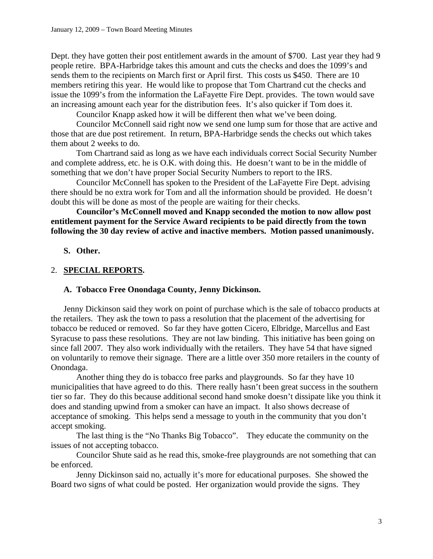Dept. they have gotten their post entitlement awards in the amount of \$700. Last year they had 9 people retire. BPA-Harbridge takes this amount and cuts the checks and does the 1099's and sends them to the recipients on March first or April first. This costs us \$450. There are 10 members retiring this year. He would like to propose that Tom Chartrand cut the checks and issue the 1099's from the information the LaFayette Fire Dept. provides. The town would save an increasing amount each year for the distribution fees. It's also quicker if Tom does it.

Councilor Knapp asked how it will be different then what we've been doing.

 Councilor McConnell said right now we send one lump sum for those that are active and those that are due post retirement. In return, BPA-Harbridge sends the checks out which takes them about 2 weeks to do.

 Tom Chartrand said as long as we have each individuals correct Social Security Number and complete address, etc. he is O.K. with doing this. He doesn't want to be in the middle of something that we don't have proper Social Security Numbers to report to the IRS.

 Councilor McConnell has spoken to the President of the LaFayette Fire Dept. advising there should be no extra work for Tom and all the information should be provided. He doesn't doubt this will be done as most of the people are waiting for their checks.

**Councilor's McConnell moved and Knapp seconded the motion to now allow post entitlement payment for the Service Award recipients to be paid directly from the town following the 30 day review of active and inactive members. Motion passed unanimously.** 

### **S. Other.**

### 2. **SPECIAL REPORTS.**

### **A. Tobacco Free Onondaga County, Jenny Dickinson.**

Jenny Dickinson said they work on point of purchase which is the sale of tobacco products at the retailers. They ask the town to pass a resolution that the placement of the advertising for tobacco be reduced or removed. So far they have gotten Cicero, Elbridge, Marcellus and East Syracuse to pass these resolutions. They are not law binding. This initiative has been going on since fall 2007. They also work individually with the retailers. They have 54 that have signed on voluntarily to remove their signage. There are a little over 350 more retailers in the county of Onondaga.

Another thing they do is tobacco free parks and playgrounds. So far they have 10 municipalities that have agreed to do this. There really hasn't been great success in the southern tier so far. They do this because additional second hand smoke doesn't dissipate like you think it does and standing upwind from a smoker can have an impact. It also shows decrease of acceptance of smoking. This helps send a message to youth in the community that you don't accept smoking.

 The last thing is the "No Thanks Big Tobacco". They educate the community on the issues of not accepting tobacco.

 Councilor Shute said as he read this, smoke-free playgrounds are not something that can be enforced.

 Jenny Dickinson said no, actually it's more for educational purposes. She showed the Board two signs of what could be posted. Her organization would provide the signs. They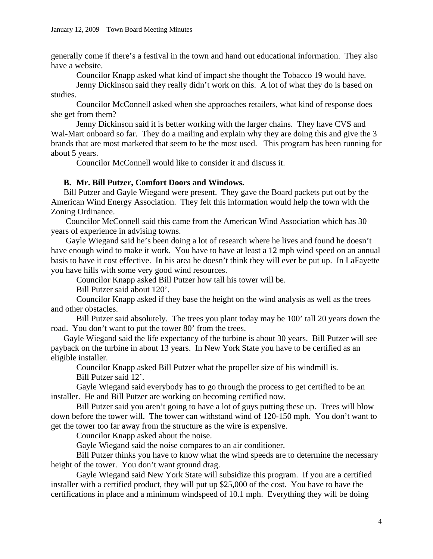generally come if there's a festival in the town and hand out educational information. They also have a website.

Councilor Knapp asked what kind of impact she thought the Tobacco 19 would have.

 Jenny Dickinson said they really didn't work on this. A lot of what they do is based on studies.

 Councilor McConnell asked when she approaches retailers, what kind of response does she get from them?

 Jenny Dickinson said it is better working with the larger chains. They have CVS and Wal-Mart onboard so far. They do a mailing and explain why they are doing this and give the 3 brands that are most marketed that seem to be the most used. This program has been running for about 5 years.

Councilor McConnell would like to consider it and discuss it.

### **B. Mr. Bill Putzer, Comfort Doors and Windows.**

Bill Putzer and Gayle Wiegand were present. They gave the Board packets put out by the American Wind Energy Association. They felt this information would help the town with the Zoning Ordinance.

 Councilor McConnell said this came from the American Wind Association which has 30 years of experience in advising towns.

 Gayle Wiegand said he's been doing a lot of research where he lives and found he doesn't have enough wind to make it work. You have to have at least a 12 mph wind speed on an annual basis to have it cost effective. In his area he doesn't think they will ever be put up. In LaFayette you have hills with some very good wind resources.

Councilor Knapp asked Bill Putzer how tall his tower will be.

Bill Putzer said about 120'.

 Councilor Knapp asked if they base the height on the wind analysis as well as the trees and other obstacles.

 Bill Putzer said absolutely. The trees you plant today may be 100' tall 20 years down the road. You don't want to put the tower 80' from the trees.

Gayle Wiegand said the life expectancy of the turbine is about 30 years. Bill Putzer will see payback on the turbine in about 13 years. In New York State you have to be certified as an eligible installer.

Councilor Knapp asked Bill Putzer what the propeller size of his windmill is.

Bill Putzer said 12'.

 Gayle Wiegand said everybody has to go through the process to get certified to be an installer. He and Bill Putzer are working on becoming certified now.

 Bill Putzer said you aren't going to have a lot of guys putting these up. Trees will blow down before the tower will. The tower can withstand wind of 120-150 mph. You don't want to get the tower too far away from the structure as the wire is expensive.

Councilor Knapp asked about the noise.

Gayle Wiegand said the noise compares to an air conditioner.

 Bill Putzer thinks you have to know what the wind speeds are to determine the necessary height of the tower. You don't want ground drag.

 Gayle Wiegand said New York State will subsidize this program. If you are a certified installer with a certified product, they will put up \$25,000 of the cost. You have to have the certifications in place and a minimum windspeed of 10.1 mph. Everything they will be doing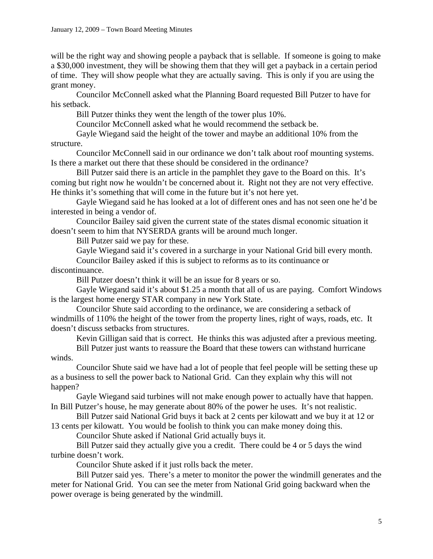will be the right way and showing people a payback that is sellable. If someone is going to make a \$30,000 investment, they will be showing them that they will get a payback in a certain period of time. They will show people what they are actually saving. This is only if you are using the grant money.

 Councilor McConnell asked what the Planning Board requested Bill Putzer to have for his setback.

Bill Putzer thinks they went the length of the tower plus 10%.

Councilor McConnell asked what he would recommend the setback be.

 Gayle Wiegand said the height of the tower and maybe an additional 10% from the structure.

 Councilor McConnell said in our ordinance we don't talk about roof mounting systems. Is there a market out there that these should be considered in the ordinance?

 Bill Putzer said there is an article in the pamphlet they gave to the Board on this. It's coming but right now he wouldn't be concerned about it. Right not they are not very effective. He thinks it's something that will come in the future but it's not here yet.

 Gayle Wiegand said he has looked at a lot of different ones and has not seen one he'd be interested in being a vendor of.

 Councilor Bailey said given the current state of the states dismal economic situation it doesn't seem to him that NYSERDA grants will be around much longer.

Bill Putzer said we pay for these.

Gayle Wiegand said it's covered in a surcharge in your National Grid bill every month.

Councilor Bailey asked if this is subject to reforms as to its continuance or

discontinuance.

Bill Putzer doesn't think it will be an issue for 8 years or so.

 Gayle Wiegand said it's about \$1.25 a month that all of us are paying. Comfort Windows is the largest home energy STAR company in new York State.

 Councilor Shute said according to the ordinance, we are considering a setback of windmills of 110% the height of the tower from the property lines, right of ways, roads, etc. It doesn't discuss setbacks from structures.

Kevin Gilligan said that is correct. He thinks this was adjusted after a previous meeting.

 Bill Putzer just wants to reassure the Board that these towers can withstand hurricane winds.

 Councilor Shute said we have had a lot of people that feel people will be setting these up as a business to sell the power back to National Grid. Can they explain why this will not happen?

 Gayle Wiegand said turbines will not make enough power to actually have that happen. In Bill Putzer's house, he may generate about 80% of the power he uses. It's not realistic.

 Bill Putzer said National Grid buys it back at 2 cents per kilowatt and we buy it at 12 or 13 cents per kilowatt. You would be foolish to think you can make money doing this.

Councilor Shute asked if National Grid actually buys it.

 Bill Putzer said they actually give you a credit. There could be 4 or 5 days the wind turbine doesn't work.

Councilor Shute asked if it just rolls back the meter.

 Bill Putzer said yes. There's a meter to monitor the power the windmill generates and the meter for National Grid. You can see the meter from National Grid going backward when the power overage is being generated by the windmill.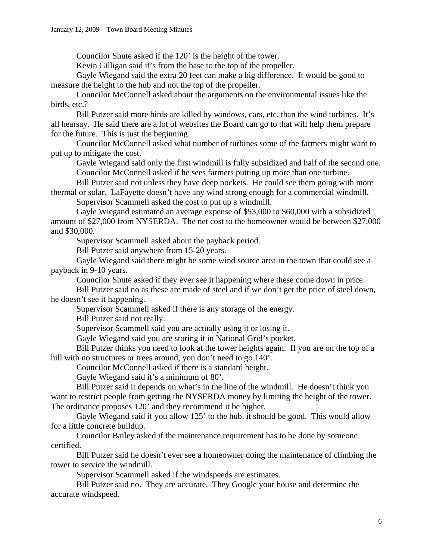Councilor Shute asked if the 120' is the height of the tower.

Kevin Gilligan said it's from the base to the top of the propeller.

 Gayle Wiegand said the extra 20 feet can make a big difference. It would be good to measure the height to the hub and not the top of the propeller.

 Councilor McConnell asked about the arguments on the environmental issues like the birds, etc.?

 Bill Putzer said more birds are killed by windows, cars, etc. than the wind turbines. It's all hearsay. He said there are a lot of websites the Board can go to that will help them prepare for the future. This is just the beginning.

 Councilor McConnell asked what number of turbines some of the farmers might want to put up to mitigate the cost.

 Gayle Wiegand said only the first windmill is fully subsidized and half of the second one. Councilor McConnell asked if he sees farmers putting up more than one turbine.

 Bill Putzer said not unless they have deep pockets. He could see them going with more thermal or solar. LaFayette doesn't have any wind strong enough for a commercial windmill.

Supervisor Scammell asked the cost to put up a windmill.

 Gayle Wiegand estimated an average expense of \$53,000 to \$60,000 with a subsidized amount of \$27,000 from NYSERDA. The net cost to the homeowner would be between \$27,000 and \$30,000.

Supervisor Scammell asked about the payback period.

Bill Putzer said anywhere from 15-20 years.

 Gayle Wiegand said there might be some wind source area in the town that could see a payback in 9-10 years.

Councilor Shute asked if they ever see it happening where these come down in price.

 Bill Putzer said no as these are made of steel and if we don't get the price of steel down, he doesn't see it happening.

Supervisor Scammell asked if there is any storage of the energy.

Bill Putzer said not really.

Supervisor Scammell said you are actually using it or losing it.

Gayle Wiegand said you are storing it in National Grid's pocket.

 Bill Putzer thinks you need to look at the tower heights again. If you are on the top of a hill with no structures or trees around, you don't need to go 140'.

Councilor McConnell asked if there is a standard height.

Gayle Wiegand said it's a minimum of 80'.

 Bill Putzer said it depends on what's in the line of the windmill. He doesn't think you want to restrict people from getting the NYSERDA money by limiting the height of the tower. The ordinance proposes 120' and they recommend it be higher.

 Gayle Wiegand said if you allow 125' to the hub, it should be good. This would allow for a little concrete buildup.

 Councilor Bailey asked if the maintenance requirement has to be done by someone certified.

 Bill Putzer said he doesn't ever see a homeowner doing the maintenance of climbing the tower to service the windmill.

Supervisor Scammell asked if the windspeeds are estimates.

 Bill Putzer said no. They are accurate. They Google your house and determine the accurate windspeed.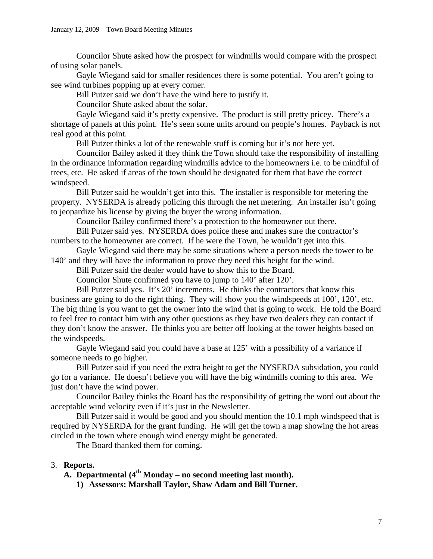Councilor Shute asked how the prospect for windmills would compare with the prospect of using solar panels.

 Gayle Wiegand said for smaller residences there is some potential. You aren't going to see wind turbines popping up at every corner.

Bill Putzer said we don't have the wind here to justify it.

Councilor Shute asked about the solar.

 Gayle Wiegand said it's pretty expensive. The product is still pretty pricey. There's a shortage of panels at this point. He's seen some units around on people's homes. Payback is not real good at this point.

Bill Putzer thinks a lot of the renewable stuff is coming but it's not here yet.

 Councilor Bailey asked if they think the Town should take the responsibility of installing in the ordinance information regarding windmills advice to the homeowners i.e. to be mindful of trees, etc. He asked if areas of the town should be designated for them that have the correct windspeed.

Bill Putzer said he wouldn't get into this. The installer is responsible for metering the property. NYSERDA is already policing this through the net metering. An installer isn't going to jeopardize his license by giving the buyer the wrong information.

Councilor Bailey confirmed there's a protection to the homeowner out there.

Bill Putzer said yes. NYSERDA does police these and makes sure the contractor's numbers to the homeowner are correct. If he were the Town, he wouldn't get into this.

Gayle Wiegand said there may be some situations where a person needs the tower to be 140' and they will have the information to prove they need this height for the wind.

Bill Putzer said the dealer would have to show this to the Board.

Councilor Shute confirmed you have to jump to 140' after 120'.

Bill Putzer said yes. It's 20' increments. He thinks the contractors that know this business are going to do the right thing. They will show you the windspeeds at 100', 120', etc. The big thing is you want to get the owner into the wind that is going to work. He told the Board to feel free to contact him with any other questions as they have two dealers they can contact if they don't know the answer. He thinks you are better off looking at the tower heights based on the windspeeds.

Gayle Wiegand said you could have a base at 125' with a possibility of a variance if someone needs to go higher.

Bill Putzer said if you need the extra height to get the NYSERDA subsidation, you could go for a variance. He doesn't believe you will have the big windmills coming to this area. We just don't have the wind power.

Councilor Bailey thinks the Board has the responsibility of getting the word out about the acceptable wind velocity even if it's just in the Newsletter.

Bill Putzer said it would be good and you should mention the 10.1 mph windspeed that is required by NYSERDA for the grant funding. He will get the town a map showing the hot areas circled in the town where enough wind energy might be generated.

The Board thanked them for coming.

### 3. **Reports.**

 $\overline{A}$ . **Departmental** ( $4^{th}$  Monday – no second meeting last month).

**1) Assessors: Marshall Taylor, Shaw Adam and Bill Turner.**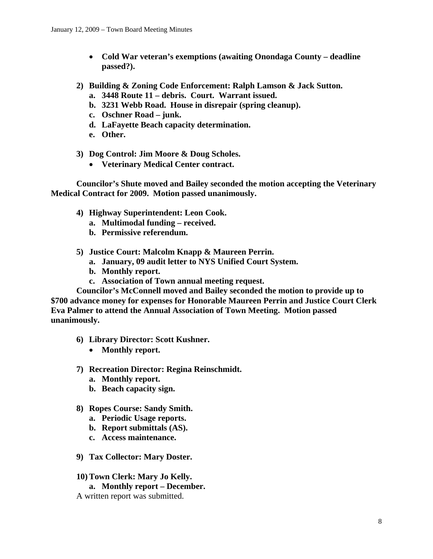- **Cold War veteran's exemptions (awaiting Onondaga County deadline passed?).**
- **2) Building & Zoning Code Enforcement: Ralph Lamson & Jack Sutton.** 
	- **a. 3448 Route 11 debris. Court. Warrant issued.**
	- **b. 3231 Webb Road. House in disrepair (spring cleanup).**
	- **c. Oschner Road junk.**
	- **d. LaFayette Beach capacity determination.**
	- **e. Other.**
- **3) Dog Control: Jim Moore & Doug Scholes.** 
	- **Veterinary Medical Center contract.**

**Councilor's Shute moved and Bailey seconded the motion accepting the Veterinary Medical Contract for 2009. Motion passed unanimously.** 

- **4) Highway Superintendent: Leon Cook.** 
	- **a. Multimodal funding received.**
	- **b. Permissive referendum.**
- **5) Justice Court: Malcolm Knapp & Maureen Perrin.** 
	- **a. January, 09 audit letter to NYS Unified Court System.**
	- **b. Monthly report.**
	- **c. Association of Town annual meeting request.**

**Councilor's McConnell moved and Bailey seconded the motion to provide up to \$700 advance money for expenses for Honorable Maureen Perrin and Justice Court Clerk Eva Palmer to attend the Annual Association of Town Meeting. Motion passed unanimously.** 

- **6) Library Director: Scott Kushner.** 
	- **Monthly report.**
- **7) Recreation Director: Regina Reinschmidt.** 
	- **a. Monthly report.**
	- **b. Beach capacity sign.**
- **8) Ropes Course: Sandy Smith.** 
	- **a. Periodic Usage reports.**
	- **b. Report submittals (AS).**
	- **c. Access maintenance.**
- **9) Tax Collector: Mary Doster.**
- **10) Town Clerk: Mary Jo Kelly.** 
	- **a. Monthly report December.**
- A written report was submitted.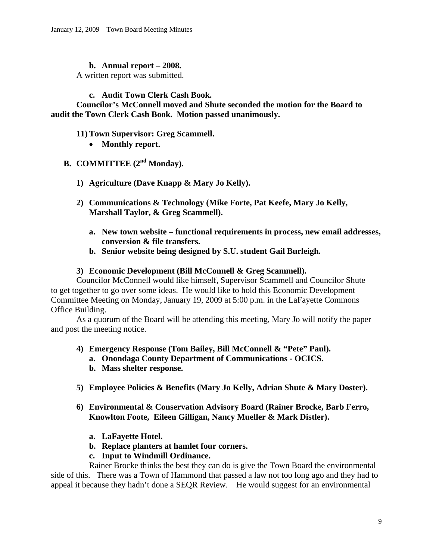### **b. Annual report – 2008.**

A written report was submitted.

### **c. Audit Town Clerk Cash Book.**

**Councilor's McConnell moved and Shute seconded the motion for the Board to audit the Town Clerk Cash Book. Motion passed unanimously.** 

### **11) Town Supervisor: Greg Scammell.**

• **Monthly report.** 

# **B. COMMITTEE (2nd Monday).**

- **1) Agriculture (Dave Knapp & Mary Jo Kelly).**
- **2) Communications & Technology (Mike Forte, Pat Keefe, Mary Jo Kelly, Marshall Taylor, & Greg Scammell).** 
	- **a. New town website functional requirements in process, new email addresses, conversion & file transfers.**
	- **b. Senior website being designed by S.U. student Gail Burleigh.**

#### **3) Economic Development (Bill McConnell & Greg Scammell).**

Councilor McConnell would like himself, Supervisor Scammell and Councilor Shute to get together to go over some ideas. He would like to hold this Economic Development Committee Meeting on Monday, January 19, 2009 at 5:00 p.m. in the LaFayette Commons Office Building.

As a quorum of the Board will be attending this meeting, Mary Jo will notify the paper and post the meeting notice.

- **4) Emergency Response (Tom Bailey, Bill McConnell & "Pete" Paul).** 
	- **a. Onondaga County Department of Communications OCICS.**
	- **b. Mass shelter response.**
- **5) Employee Policies & Benefits (Mary Jo Kelly, Adrian Shute & Mary Doster).**
- **6) Environmental & Conservation Advisory Board (Rainer Brocke, Barb Ferro, Knowlton Foote, Eileen Gilligan, Nancy Mueller & Mark Distler).** 
	- **a. LaFayette Hotel.**
	- **b. Replace planters at hamlet four corners.**
	- **c. Input to Windmill Ordinance.**

Rainer Brocke thinks the best they can do is give the Town Board the environmental side of this. There was a Town of Hammond that passed a law not too long ago and they had to appeal it because they hadn't done a SEQR Review. He would suggest for an environmental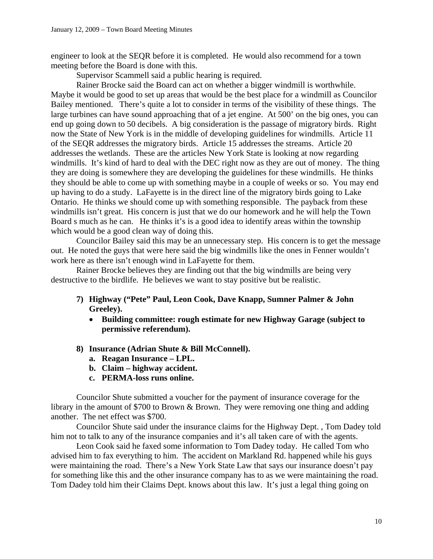engineer to look at the SEQR before it is completed. He would also recommend for a town meeting before the Board is done with this.

Supervisor Scammell said a public hearing is required.

 Rainer Brocke said the Board can act on whether a bigger windmill is worthwhile. Maybe it would be good to set up areas that would be the best place for a windmill as Councilor Bailey mentioned. There's quite a lot to consider in terms of the visibility of these things. The large turbines can have sound approaching that of a jet engine. At 500' on the big ones, you can end up going down to 50 decibels. A big consideration is the passage of migratory birds. Right now the State of New York is in the middle of developing guidelines for windmills. Article 11 of the SEQR addresses the migratory birds. Article 15 addresses the streams. Article 20 addresses the wetlands. These are the articles New York State is looking at now regarding windmills. It's kind of hard to deal with the DEC right now as they are out of money. The thing they are doing is somewhere they are developing the guidelines for these windmills. He thinks they should be able to come up with something maybe in a couple of weeks or so. You may end up having to do a study. LaFayette is in the direct line of the migratory birds going to Lake Ontario. He thinks we should come up with something responsible. The payback from these windmills isn't great. His concern is just that we do our homework and he will help the Town Board s much as he can. He thinks it's is a good idea to identify areas within the township which would be a good clean way of doing this.

 Councilor Bailey said this may be an unnecessary step. His concern is to get the message out. He noted the guys that were here said the big windmills like the ones in Fenner wouldn't work here as there isn't enough wind in LaFayette for them.

 Rainer Brocke believes they are finding out that the big windmills are being very destructive to the birdlife. He believes we want to stay positive but be realistic.

- **7) Highway ("Pete" Paul, Leon Cook, Dave Knapp, Sumner Palmer & John Greeley).** 
	- **Building committee: rough estimate for new Highway Garage (subject to permissive referendum).**
- **8) Insurance (Adrian Shute & Bill McConnell).** 
	- **a. Reagan Insurance LPL.**
	- **b. Claim highway accident.**
	- **c. PERMA-loss runs online.**

Councilor Shute submitted a voucher for the payment of insurance coverage for the library in the amount of \$700 to Brown & Brown. They were removing one thing and adding another. The net effect was \$700.

 Councilor Shute said under the insurance claims for the Highway Dept. , Tom Dadey told him not to talk to any of the insurance companies and it's all taken care of with the agents.

 Leon Cook said he faxed some information to Tom Dadey today. He called Tom who advised him to fax everything to him. The accident on Markland Rd. happened while his guys were maintaining the road. There's a New York State Law that says our insurance doesn't pay for something like this and the other insurance company has to as we were maintaining the road. Tom Dadey told him their Claims Dept. knows about this law. It's just a legal thing going on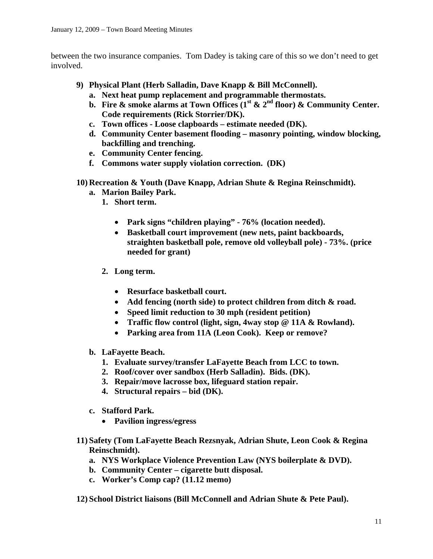between the two insurance companies. Tom Dadey is taking care of this so we don't need to get involved.

- **9) Physical Plant (Herb Salladin, Dave Knapp & Bill McConnell).** 
	- **a. Next heat pump replacement and programmable thermostats.**
	- **b.** Fire  $\&$  smoke alarms at Town Offices  $(1^{\text{st}} \& 2^{\text{nd}} \text{ floor}) \&$  Community Center. **Code requirements (Rick Storrier/DK).**
	- **c. Town offices Loose clapboards estimate needed (DK).**
	- **d. Community Center basement flooding masonry pointing, window blocking, backfilling and trenching.**
	- **e. Community Center fencing.**
	- **f. Commons water supply violation correction. (DK)**
- **10) Recreation & Youth (Dave Knapp, Adrian Shute & Regina Reinschmidt).** 
	- **a. Marion Bailey Park.** 
		- **1. Short term.** 
			- **Park signs "children playing" 76% (location needed).**
			- **Basketball court improvement (new nets, paint backboards, straighten basketball pole, remove old volleyball pole) - 73%. (price needed for grant)**
		- **2. Long term.** 
			- **Resurface basketball court.**
			- **Add fencing (north side) to protect children from ditch & road.**
			- **Speed limit reduction to 30 mph (resident petition)**
			- **Traffic flow control (light, sign, 4way stop @ 11A & Rowland).**
			- **Parking area from 11A (Leon Cook). Keep or remove?**
	- **b. LaFayette Beach.** 
		- **1. Evaluate survey/transfer LaFayette Beach from LCC to town.**
		- **2. Roof/cover over sandbox (Herb Salladin). Bids. (DK).**
		- **3. Repair/move lacrosse box, lifeguard station repair.**
		- **4. Structural repairs bid (DK).**
	- **c. Stafford Park.** 
		- **Pavilion ingress/egress**
- **11) Safety (Tom LaFayette Beach Rezsnyak, Adrian Shute, Leon Cook & Regina Reinschmidt).** 
	- **a. NYS Workplace Violence Prevention Law (NYS boilerplate & DVD).**
	- **b. Community Center cigarette butt disposal.**
	- **c. Worker's Comp cap? (11.12 memo)**
- **12) School District liaisons (Bill McConnell and Adrian Shute & Pete Paul).**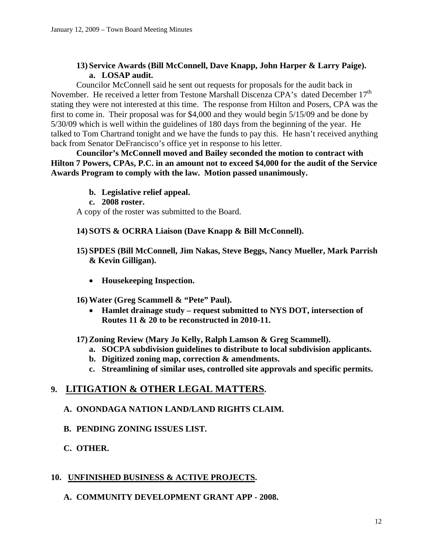## **13) Service Awards (Bill McConnell, Dave Knapp, John Harper & Larry Paige). a. LOSAP audit.**

Councilor McConnell said he sent out requests for proposals for the audit back in November. He received a letter from Testone Marshall Discenza CPA's dated December 17<sup>th</sup> stating they were not interested at this time. The response from Hilton and Posers, CPA was the first to come in. Their proposal was for \$4,000 and they would begin 5/15/09 and be done by 5/30/09 which is well within the guidelines of 180 days from the beginning of the year. He talked to Tom Chartrand tonight and we have the funds to pay this. He hasn't received anything back from Senator DeFrancisco's office yet in response to his letter.

**Councilor's McConnell moved and Bailey seconded the motion to contract with Hilton 7 Powers, CPAs, P.C. in an amount not to exceed \$4,000 for the audit of the Service Awards Program to comply with the law. Motion passed unanimously.** 

- **b. Legislative relief appeal.**
- **c. 2008 roster.**

A copy of the roster was submitted to the Board.

### **14) SOTS & OCRRA Liaison (Dave Knapp & Bill McConnell).**

### **15) SPDES (Bill McConnell, Jim Nakas, Steve Beggs, Nancy Mueller, Mark Parrish & Kevin Gilligan).**

- **Housekeeping Inspection.**
- **16) Water (Greg Scammell & "Pete" Paul).** 
	- **Hamlet drainage study request submitted to NYS DOT, intersection of Routes 11 & 20 to be reconstructed in 2010-11.**

### **17) Zoning Review (Mary Jo Kelly, Ralph Lamson & Greg Scammell).**

- **a. SOCPA subdivision guidelines to distribute to local subdivision applicants.**
- **b. Digitized zoning map, correction & amendments.**
- **c. Streamlining of similar uses, controlled site approvals and specific permits.**

## **9. LITIGATION & OTHER LEGAL MATTERS.**

## **A. ONONDAGA NATION LAND/LAND RIGHTS CLAIM.**

**B. PENDING ZONING ISSUES LIST.** 

## **C. OTHER.**

## **10. UNFINISHED BUSINESS & ACTIVE PROJECTS.**

## **A. COMMUNITY DEVELOPMENT GRANT APP - 2008.**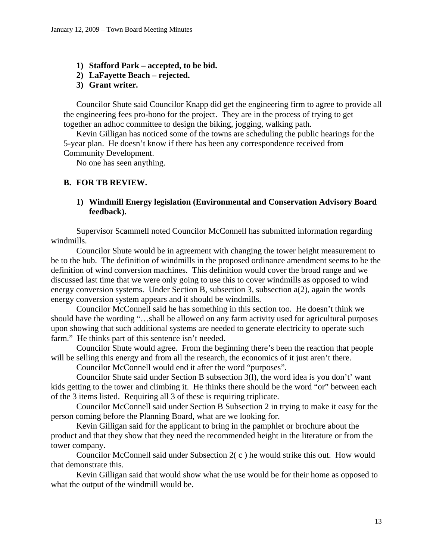- **1) Stafford Park accepted, to be bid.**
- **2) LaFayette Beach rejected.**
- **3) Grant writer.**

Councilor Shute said Councilor Knapp did get the engineering firm to agree to provide all the engineering fees pro-bono for the project. They are in the process of trying to get together an adhoc committee to design the biking, jogging, walking path.

 Kevin Gilligan has noticed some of the towns are scheduling the public hearings for the 5-year plan. He doesn't know if there has been any correspondence received from Community Development.

No one has seen anything.

### **B. FOR TB REVIEW.**

### **1) Windmill Energy legislation (Environmental and Conservation Advisory Board feedback).**

Supervisor Scammell noted Councilor McConnell has submitted information regarding windmills.

 Councilor Shute would be in agreement with changing the tower height measurement to be to the hub. The definition of windmills in the proposed ordinance amendment seems to be the definition of wind conversion machines. This definition would cover the broad range and we discussed last time that we were only going to use this to cover windmills as opposed to wind energy conversion systems. Under Section B, subsection 3, subsection a(2), again the words energy conversion system appears and it should be windmills.

 Councilor McConnell said he has something in this section too. He doesn't think we should have the wording "…shall be allowed on any farm activity used for agricultural purposes upon showing that such additional systems are needed to generate electricity to operate such farm." He thinks part of this sentence isn't needed.

 Councilor Shute would agree. From the beginning there's been the reaction that people will be selling this energy and from all the research, the economics of it just aren't there.

Councilor McConnell would end it after the word "purposes".

 Councilor Shute said under Section B subsection 3(l), the word idea is you don't' want kids getting to the tower and climbing it. He thinks there should be the word "or" between each of the 3 items listed. Requiring all 3 of these is requiring triplicate.

 Councilor McConnell said under Section B Subsection 2 in trying to make it easy for the person coming before the Planning Board, what are we looking for.

 Kevin Gilligan said for the applicant to bring in the pamphlet or brochure about the product and that they show that they need the recommended height in the literature or from the tower company.

 Councilor McConnell said under Subsection 2( c ) he would strike this out. How would that demonstrate this.

 Kevin Gilligan said that would show what the use would be for their home as opposed to what the output of the windmill would be.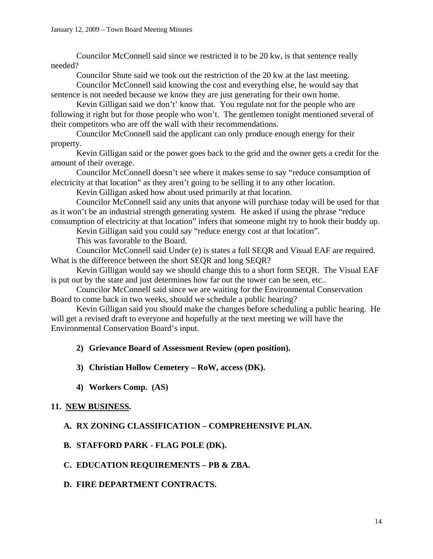Councilor McConnell said since we restricted it to be 20 kw, is that sentence really needed?

Councilor Shute said we took out the restriction of the 20 kw at the last meeting.

 Councilor McConnell said knowing the cost and everything else, he would say that sentence is not needed because we know they are just generating for their own home.

 Kevin Gilligan said we don't' know that. You regulate not for the people who are following it right but for those people who won't. The gentlemen tonight mentioned several of their competitors who are off the wall with their recommendations.

 Councilor McConnell said the applicant can only produce enough energy for their property.

 Kevin Gilligan said or the power goes back to the grid and the owner gets a credit for the amount of their overage.

Councilor McConnell doesn't see where it makes sense to say "reduce consumption of electricity at that location" as they aren't going to be selling it to any other location.

Kevin Gilligan asked how about used primarily at that location.

Councilor McConnell said any units that anyone will purchase today will be used for that as it won't be an industrial strength generating system. He asked if using the phrase "reduce consumption of electricity at that location" infers that someone might try to hook their buddy up.

Kevin Gilligan said you could say "reduce energy cost at that location".

This was favorable to the Board.

Councilor McConnell said Under (e) is states a full SEQR and Visual EAF are required. What is the difference between the short SEQR and long SEQR?

Kevin Gilligan would say we should change this to a short form SEQR. The Visual EAF is put out by the state and just determines how far out the tower can be seen, etc..

Councilor McConnell said since we are waiting for the Environmental Conservation Board to come back in two weeks, should we schedule a public hearing?

Kevin Gilligan said you should make the changes before scheduling a public hearing. He will get a revised draft to everyone and hopefully at the next meeting we will have the Environmental Conservation Board's input.

### **2) Grievance Board of Assessment Review (open position).**

### **3) Christian Hollow Cemetery – RoW, access (DK).**

**4) Workers Comp. (AS)** 

### **11. NEW BUSINESS.**

### **A. RX ZONING CLASSIFICATION – COMPREHENSIVE PLAN.**

### **B. STAFFORD PARK - FLAG POLE (DK).**

### **C. EDUCATION REQUIREMENTS – PB & ZBA.**

### **D. FIRE DEPARTMENT CONTRACTS.**